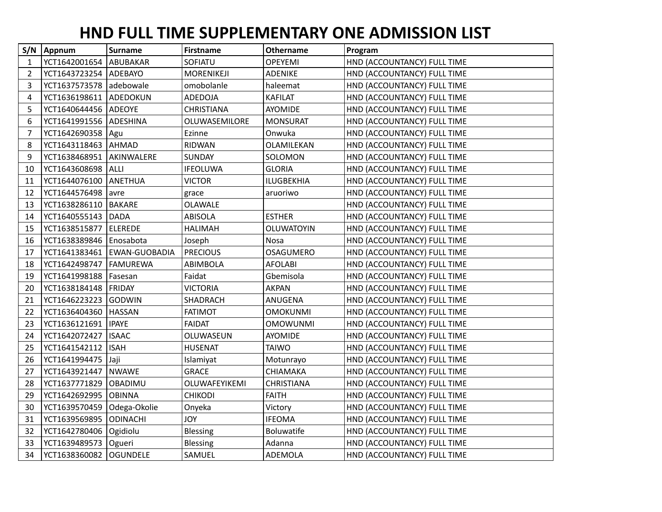## **HND FULL TIME SUPPLEMENTARY ONE ADMISSION LIST**

| S/N | Appnum                    | <b>Surname</b>                | <b>Firstname</b>  | Othername         | Program                     |
|-----|---------------------------|-------------------------------|-------------------|-------------------|-----------------------------|
| 1   | YCT1642001654   ABUBAKAR  |                               | SOFIATU           | <b>OPEYEMI</b>    | HND (ACCOUNTANCY) FULL TIME |
| 2   | YCT1643723254   ADEBAYO   |                               | <b>MORENIKEJI</b> | <b>ADENIKE</b>    | HND (ACCOUNTANCY) FULL TIME |
| 3   | YCT1637573578 adebowale   |                               | omobolanle        | haleemat          | HND (ACCOUNTANCY) FULL TIME |
| 4   | YCT1636198611 ADEDOKUN    |                               | <b>ADEDOJA</b>    | <b>KAFILAT</b>    | HND (ACCOUNTANCY) FULL TIME |
| 5   | YCT1640644456 ADEOYE      |                               | <b>CHRISTIANA</b> | AYOMIDE           | HND (ACCOUNTANCY) FULL TIME |
| 6   | YCT1641991556 ADESHINA    |                               | OLUWASEMILORE     | <b>MONSURAT</b>   | HND (ACCOUNTANCY) FULL TIME |
| 7   | YCT1642690358   Agu       |                               | Ezinne            | Onwuka            | HND (ACCOUNTANCY) FULL TIME |
| 8   | YCT1643118463   AHMAD     |                               | <b>RIDWAN</b>     | OLAMILEKAN        | HND (ACCOUNTANCY) FULL TIME |
| 9   | YCT1638468951             | AKINWALERE                    | <b>SUNDAY</b>     | SOLOMON           | HND (ACCOUNTANCY) FULL TIME |
| 10  | YCT1643608698   ALLI      |                               | <b>IFEOLUWA</b>   | <b>GLORIA</b>     | HND (ACCOUNTANCY) FULL TIME |
| 11  | YCT1644076100             | ANETHUA                       | <b>VICTOR</b>     | <b>ILUGBEKHIA</b> | HND (ACCOUNTANCY) FULL TIME |
| 12  | YCT1644576498             | avre                          | grace             | aruoriwo          | HND (ACCOUNTANCY) FULL TIME |
| 13  | YCT1638286110   BAKARE    |                               | OLAWALE           |                   | HND (ACCOUNTANCY) FULL TIME |
| 14  | YCT1640555143 DADA        |                               | <b>ABISOLA</b>    | <b>ESTHER</b>     | HND (ACCOUNTANCY) FULL TIME |
| 15  | YCT1638515877             | <b>ELEREDE</b>                | <b>HALIMAH</b>    | <b>OLUWATOYIN</b> | HND (ACCOUNTANCY) FULL TIME |
| 16  | YCT1638389846   Enosabota |                               | Joseph            | Nosa              | HND (ACCOUNTANCY) FULL TIME |
| 17  |                           | YCT1641383461   EWAN-GUOBADIA | <b>PRECIOUS</b>   | <b>OSAGUMERO</b>  | HND (ACCOUNTANCY) FULL TIME |
| 18  | YCT1642498747             | <b>FAMUREWA</b>               | ABIMBOLA          | <b>AFOLABI</b>    | HND (ACCOUNTANCY) FULL TIME |
| 19  | YCT1641998188             | Fasesan                       | Faidat            | Gbemisola         | HND (ACCOUNTANCY) FULL TIME |
| 20  | YCT1638184148   FRIDAY    |                               | <b>VICTORIA</b>   | <b>AKPAN</b>      | HND (ACCOUNTANCY) FULL TIME |
| 21  | YCT1646223223             | <b>GODWIN</b>                 | SHADRACH          | ANUGENA           | HND (ACCOUNTANCY) FULL TIME |
| 22  | YCT1636404360             | <b>HASSAN</b>                 | <b>FATIMOT</b>    | <b>OMOKUNMI</b>   | HND (ACCOUNTANCY) FULL TIME |
| 23  | YCT1636121691             | <b>IPAYE</b>                  | <b>FAIDAT</b>     | <b>OMOWUNMI</b>   | HND (ACCOUNTANCY) FULL TIME |
| 24  | YCT1642072427             | <b>ISAAC</b>                  | OLUWASEUN         | AYOMIDE           | HND (ACCOUNTANCY) FULL TIME |
| 25  | YCT1641542112             | <b>ISAH</b>                   | <b>HUSENAT</b>    | <b>TAIWO</b>      | HND (ACCOUNTANCY) FULL TIME |
| 26  | YCT1641994475             | Jaji                          | Islamiyat         | Motunrayo         | HND (ACCOUNTANCY) FULL TIME |
| 27  | YCT1643921447             | <b>NWAWE</b>                  | <b>GRACE</b>      | CHIAMAKA          | HND (ACCOUNTANCY) FULL TIME |
| 28  | YCT1637771829             | <b>OBADIMU</b>                | OLUWAFEYIKEMI     | CHRISTIANA        | HND (ACCOUNTANCY) FULL TIME |
| 29  | YCT1642692995             | <b>OBINNA</b>                 | <b>CHIKODI</b>    | <b>FAITH</b>      | HND (ACCOUNTANCY) FULL TIME |
| 30  | YCT1639570459             | Odega-Okolie                  | Onyeka            | Victory           | HND (ACCOUNTANCY) FULL TIME |
| 31  | YCT1639569895             | <b>ODINACHI</b>               | <b>JOY</b>        | <b>IFEOMA</b>     | HND (ACCOUNTANCY) FULL TIME |
| 32  | YCT1642780406   Ogidiolu  |                               | Blessing          | Boluwatife        | HND (ACCOUNTANCY) FULL TIME |
| 33  | YCT1639489573             | Ogueri                        | <b>Blessing</b>   | Adanna            | HND (ACCOUNTANCY) FULL TIME |
| 34  | YCT1638360082 OGUNDELE    |                               | SAMUEL            | ADEMOLA           | HND (ACCOUNTANCY) FULL TIME |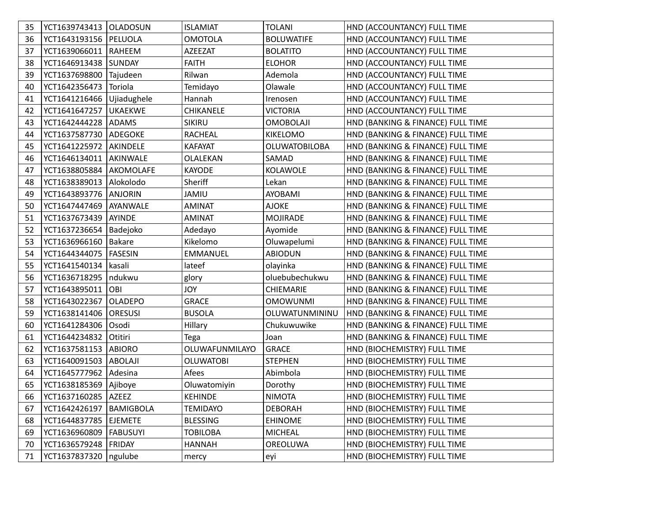| 35 | YCT1639743413   OLADOSUN    |                  | <b>ISLAMIAT</b>  | <b>TOLANI</b>        | HND (ACCOUNTANCY) FULL TIME       |
|----|-----------------------------|------------------|------------------|----------------------|-----------------------------------|
| 36 | YCT1643193156   PELUOLA     |                  | <b>OMOTOLA</b>   | <b>BOLUWATIFE</b>    | HND (ACCOUNTANCY) FULL TIME       |
| 37 | YCT1639066011               | RAHEEM           | <b>AZEEZAT</b>   | <b>BOLATITO</b>      | HND (ACCOUNTANCY) FULL TIME       |
| 38 | YCT1646913438 SUNDAY        |                  | <b>FAITH</b>     | <b>ELOHOR</b>        | HND (ACCOUNTANCY) FULL TIME       |
| 39 | YCT1637698800               | Tajudeen         | Rilwan           | Ademola              | HND (ACCOUNTANCY) FULL TIME       |
| 40 | YCT1642356473               | Toriola          | Temidayo         | Olawale              | HND (ACCOUNTANCY) FULL TIME       |
| 41 | YCT1641216466   Ujiadughele |                  | Hannah           | Irenosen             | HND (ACCOUNTANCY) FULL TIME       |
| 42 | YCT1641647257               | <b>UKAEKWE</b>   | <b>CHIKANELE</b> | <b>VICTORIA</b>      | HND (ACCOUNTANCY) FULL TIME       |
| 43 | YCT1642444228               | ADAMS            | <b>SIKIRU</b>    | <b>OMOBOLAJI</b>     | HND (BANKING & FINANCE) FULL TIME |
| 44 | YCT1637587730               | ADEGOKE          | <b>RACHEAL</b>   | <b>KIKELOMO</b>      | HND (BANKING & FINANCE) FULL TIME |
| 45 | YCT1641225972               | AKINDELE         | <b>KAFAYAT</b>   | <b>OLUWATOBILOBA</b> | HND (BANKING & FINANCE) FULL TIME |
| 46 | YCT1646134011   AKINWALE    |                  | OLALEKAN         | SAMAD                | HND (BANKING & FINANCE) FULL TIME |
| 47 | YCT1638805884   AKOMOLAFE   |                  | <b>KAYODE</b>    | <b>KOLAWOLE</b>      | HND (BANKING & FINANCE) FULL TIME |
| 48 | YCT1638389013               | Alokolodo        | Sheriff          | Lekan                | HND (BANKING & FINANCE) FULL TIME |
| 49 | YCT1643893776               | ANJORIN          | <b>JAMIU</b>     | AYOBAMI              | HND (BANKING & FINANCE) FULL TIME |
| 50 | YCT1647447469               | <b>AYANWALE</b>  | <b>AMINAT</b>    | <b>AJOKE</b>         | HND (BANKING & FINANCE) FULL TIME |
| 51 | YCT1637673439               | AYINDE           | <b>AMINAT</b>    | <b>MOJIRADE</b>      | HND (BANKING & FINANCE) FULL TIME |
| 52 | YCT1637236654               | Badejoko         | Adedayo          | Ayomide              | HND (BANKING & FINANCE) FULL TIME |
| 53 | YCT1636966160               | Bakare           | Kikelomo         | Oluwapelumi          | HND (BANKING & FINANCE) FULL TIME |
| 54 | YCT1644344075               | <b>FASESIN</b>   | <b>EMMANUEL</b>  | <b>ABIODUN</b>       | HND (BANKING & FINANCE) FULL TIME |
| 55 | YCT1641540134               | kasali           | lateef           | olayinka             | HND (BANKING & FINANCE) FULL TIME |
| 56 | YCT1636718295               | ndukwu           | glory            | oluebubechukwu       | HND (BANKING & FINANCE) FULL TIME |
| 57 | YCT1643895011               | OBI              | <b>JOY</b>       | CHIEMARIE            | HND (BANKING & FINANCE) FULL TIME |
| 58 | YCT1643022367               | <b>OLADEPO</b>   | <b>GRACE</b>     | <b>OMOWUNMI</b>      | HND (BANKING & FINANCE) FULL TIME |
| 59 | YCT1638141406               | <b>ORESUSI</b>   | <b>BUSOLA</b>    | OLUWATUNMININU       | HND (BANKING & FINANCE) FULL TIME |
| 60 | YCT1641284306               | Osodi            | Hillary          | Chukuwuwike          | HND (BANKING & FINANCE) FULL TIME |
| 61 | YCT1644234832               | Otitiri          | Tega             | Joan                 | HND (BANKING & FINANCE) FULL TIME |
| 62 | YCT1637581153               | ABIORO           | OLUWAFUNMILAYO   | <b>GRACE</b>         | HND (BIOCHEMISTRY) FULL TIME      |
| 63 | YCT1640091503               | <b>ABOLAJI</b>   | <b>OLUWATOBI</b> | <b>STEPHEN</b>       | HND (BIOCHEMISTRY) FULL TIME      |
| 64 | YCT1645777962               | Adesina          | Afees            | Abimbola             | HND (BIOCHEMISTRY) FULL TIME      |
| 65 | YCT1638185369   Ajiboye     |                  | Oluwatomiyin     | Dorothy              | HND (BIOCHEMISTRY) FULL TIME      |
| 66 | YCT1637160285 AZEEZ         |                  | <b>KEHINDE</b>   | <b>NIMOTA</b>        | HND (BIOCHEMISTRY) FULL TIME      |
| 67 | YCT1642426197               | <b>BAMIGBOLA</b> | <b>TEMIDAYO</b>  | <b>DEBORAH</b>       | HND (BIOCHEMISTRY) FULL TIME      |
| 68 | YCT1644837785   EJEMETE     |                  | <b>BLESSING</b>  | <b>EHINOME</b>       | HND (BIOCHEMISTRY) FULL TIME      |
| 69 | YCT1636960809               | <b>FABUSUYI</b>  | <b>TOBILOBA</b>  | <b>MICHEAL</b>       | HND (BIOCHEMISTRY) FULL TIME      |
| 70 | YCT1636579248   FRIDAY      |                  | <b>HANNAH</b>    | <b>OREOLUWA</b>      | HND (BIOCHEMISTRY) FULL TIME      |
| 71 | YCT1637837320               | ngulube          | mercy            | eyi                  | HND (BIOCHEMISTRY) FULL TIME      |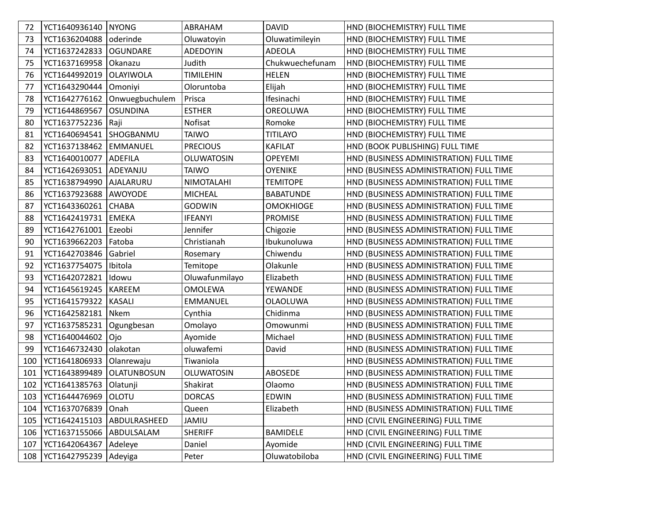| 72  | YCT1640936140   NYONG  |                    | ABRAHAM           | <b>DAVID</b>     | HND (BIOCHEMISTRY) FULL TIME            |
|-----|------------------------|--------------------|-------------------|------------------|-----------------------------------------|
| 73  | YCT1636204088          | oderinde           | Oluwatoyin        | Oluwatimileyin   | HND (BIOCHEMISTRY) FULL TIME            |
| 74  | YCT1637242833          | <b>OGUNDARE</b>    | <b>ADEDOYIN</b>   | <b>ADEOLA</b>    | HND (BIOCHEMISTRY) FULL TIME            |
| 75  | YCT1637169958          | Okanazu            | Judith            | Chukwuechefunam  | HND (BIOCHEMISTRY) FULL TIME            |
| 76  | YCT1644992019          | OLAYIWOLA          | <b>TIMILEHIN</b>  | <b>HELEN</b>     | HND (BIOCHEMISTRY) FULL TIME            |
| 77  | YCT1643290444          | Omoniyi            | Oloruntoba        | Elijah           | HND (BIOCHEMISTRY) FULL TIME            |
| 78  | YCT1642776162          | Onwuegbuchulem     | Prisca            | Ifesinachi       | HND (BIOCHEMISTRY) FULL TIME            |
| 79  | YCT1644869567          | <b>OSUNDINA</b>    | <b>ESTHER</b>     | OREOLUWA         | HND (BIOCHEMISTRY) FULL TIME            |
| 80  | YCT1637752236          | Raji               | Nofisat           | Romoke           | HND (BIOCHEMISTRY) FULL TIME            |
| 81  | YCT1640694541          | SHOGBANMU          | <b>TAIWO</b>      | <b>TITILAYO</b>  | HND (BIOCHEMISTRY) FULL TIME            |
| 82  | YCT1637138462          | EMMANUEL           | <b>PRECIOUS</b>   | <b>KAFILAT</b>   | HND (BOOK PUBLISHING) FULL TIME         |
| 83  | YCT1640010077          | <b>ADEFILA</b>     | <b>OLUWATOSIN</b> | <b>OPEYEMI</b>   | HND (BUSINESS ADMINISTRATION) FULL TIME |
| 84  | YCT1642693051 ADEYANJU |                    | <b>TAIWO</b>      | <b>OYENIKE</b>   | HND (BUSINESS ADMINISTRATION) FULL TIME |
| 85  | YCT1638794990          | AJALARURU          | NIMOTALAHI        | <b>TEMITOPE</b>  | HND (BUSINESS ADMINISTRATION) FULL TIME |
| 86  | YCT1637923688          | AWOYODE            | <b>MICHEAL</b>    | <b>BABATUNDE</b> | HND (BUSINESS ADMINISTRATION) FULL TIME |
| 87  | YCT1643360261          | <b>CHABA</b>       | <b>GODWIN</b>     | <b>OMOKHIOGE</b> | HND (BUSINESS ADMINISTRATION) FULL TIME |
| 88  | YCT1642419731          | EMEKA              | <b>IFEANYI</b>    | <b>PROMISE</b>   | HND (BUSINESS ADMINISTRATION) FULL TIME |
| 89  | YCT1642761001          | Ezeobi             | Jennifer          | Chigozie         | HND (BUSINESS ADMINISTRATION) FULL TIME |
| 90  | YCT1639662203          | Fatoba             | Christianah       | Ibukunoluwa      | HND (BUSINESS ADMINISTRATION) FULL TIME |
| 91  | YCT1642703846          | Gabriel            | Rosemary          | Chiwendu         | HND (BUSINESS ADMINISTRATION) FULL TIME |
| 92  | YCT1637754075          | Ibitola            | Temitope          | Olakunle         | HND (BUSINESS ADMINISTRATION) FULL TIME |
| 93  | YCT1642072821          | Idowu              | Oluwafunmilayo    | Elizabeth        | HND (BUSINESS ADMINISTRATION) FULL TIME |
| 94  | YCT1645619245          | <b>KAREEM</b>      | <b>OMOLEWA</b>    | YEWANDE          | HND (BUSINESS ADMINISTRATION) FULL TIME |
| 95  | YCT1641579322          | <b>KASALI</b>      | <b>EMMANUEL</b>   | <b>OLAOLUWA</b>  | HND (BUSINESS ADMINISTRATION) FULL TIME |
| 96  | YCT1642582181          | Nkem               | Cynthia           | Chidinma         | HND (BUSINESS ADMINISTRATION) FULL TIME |
| 97  | YCT1637585231          | Ogungbesan         | Omolayo           | Omowunmi         | HND (BUSINESS ADMINISTRATION) FULL TIME |
| 98  | YCT1640044602          | Ojo                | Ayomide           | Michael          | HND (BUSINESS ADMINISTRATION) FULL TIME |
| 99  | YCT1646732430          | olakotan           | oluwafemi         | David            | HND (BUSINESS ADMINISTRATION) FULL TIME |
| 100 | YCT1641806933          | Olanrewaju         | Tiwaniola         |                  | HND (BUSINESS ADMINISTRATION) FULL TIME |
| 101 | YCT1643899489          | <b>OLATUNBOSUN</b> | <b>OLUWATOSIN</b> | <b>ABOSEDE</b>   | HND (BUSINESS ADMINISTRATION) FULL TIME |
| 102 | YCT1641385763          | Olatunji           | Shakirat          | Olaomo           | HND (BUSINESS ADMINISTRATION) FULL TIME |
| 103 | YCT1644476969   OLOTU  |                    | <b>DORCAS</b>     | EDWIN            | HND (BUSINESS ADMINISTRATION) FULL TIME |
| 104 | YCT1637076839          | Onah               | Queen             | Elizabeth        | HND (BUSINESS ADMINISTRATION) FULL TIME |
| 105 | YCT1642415103          | ABDULRASHEED       | <b>JAMIU</b>      |                  | HND (CIVIL ENGINEERING) FULL TIME       |
| 106 | YCT1637155066          | ABDULSALAM         | <b>SHERIFF</b>    | BAMIDELE         | HND (CIVIL ENGINEERING) FULL TIME       |
| 107 | YCT1642064367          | Adeleye            | Daniel            | Ayomide          | HND (CIVIL ENGINEERING) FULL TIME       |
| 108 | YCT1642795239          | Adeyiga            | Peter             | Oluwatobiloba    | HND (CIVIL ENGINEERING) FULL TIME       |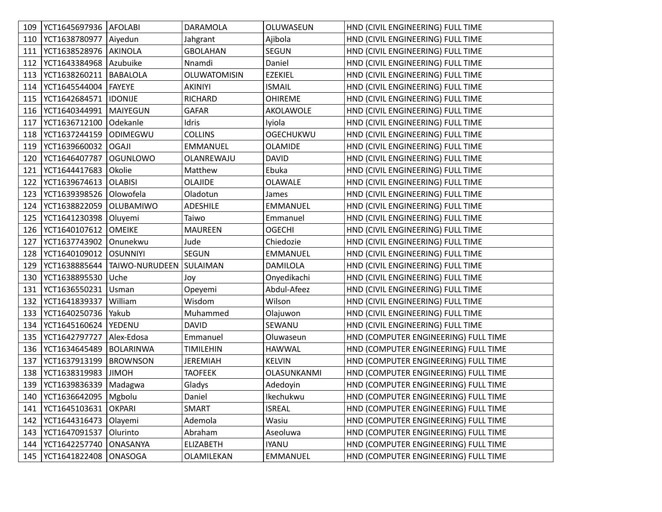| 109 | YCT1645697936   AFOLABI |                         | DARAMOLA         | OLUWASEUN        | HND (CIVIL ENGINEERING) FULL TIME    |
|-----|-------------------------|-------------------------|------------------|------------------|--------------------------------------|
| 110 | YCT1638780977   Aiyedun |                         | Jahgrant         | Ajibola          | HND (CIVIL ENGINEERING) FULL TIME    |
| 111 | YCT1638528976           | AKINOLA                 | <b>GBOLAHAN</b>  | SEGUN            | HND (CIVIL ENGINEERING) FULL TIME    |
| 112 | YCT1643384968           | Azubuike                | Nnamdi           | Daniel           | HND (CIVIL ENGINEERING) FULL TIME    |
| 113 | YCT1638260211           | BABALOLA                | OLUWATOMISIN     | <b>EZEKIEL</b>   | HND (CIVIL ENGINEERING) FULL TIME    |
| 114 | YCT1645544004           | <b>FAYEYE</b>           | AKINIYI          | <b>ISMAIL</b>    | HND (CIVIL ENGINEERING) FULL TIME    |
| 115 | YCT1642684571           | <b>IDONIJE</b>          | RICHARD          | <b>OHIREME</b>   | HND (CIVIL ENGINEERING) FULL TIME    |
| 116 | YCT1640344991           | MAIYEGUN                | <b>GAFAR</b>     | AKOLAWOLE        | HND (CIVIL ENGINEERING) FULL TIME    |
| 117 | YCT1636712100           | Odekanle                | Idris            | Iyiola           | HND (CIVIL ENGINEERING) FULL TIME    |
| 118 | YCT1637244159           | <b>ODIMEGWU</b>         | <b>COLLINS</b>   | <b>OGECHUKWU</b> | HND (CIVIL ENGINEERING) FULL TIME    |
| 119 | YCT1639660032           | <b>OGAJI</b>            | EMMANUEL         | <b>OLAMIDE</b>   | HND (CIVIL ENGINEERING) FULL TIME    |
| 120 | YCT1646407787           | <b>OGUNLOWO</b>         | OLANREWAJU       | <b>DAVID</b>     | HND (CIVIL ENGINEERING) FULL TIME    |
| 121 | YCT1644417683           | Okolie                  | Matthew          | Ebuka            | HND (CIVIL ENGINEERING) FULL TIME    |
| 122 | YCT1639674613           | <b>OLABISI</b>          | OLAJIDE          | OLAWALE          | HND (CIVIL ENGINEERING) FULL TIME    |
| 123 | YCT1639398526           | Olowofela               | Oladotun         | James            | HND (CIVIL ENGINEERING) FULL TIME    |
| 124 | YCT1638822059           | <b>OLUBAMIWO</b>        | <b>ADESHILE</b>  | EMMANUEL         | HND (CIVIL ENGINEERING) FULL TIME    |
| 125 | YCT1641230398           | Oluyemi                 | Taiwo            | Emmanuel         | HND (CIVIL ENGINEERING) FULL TIME    |
| 126 | YCT1640107612           | <b>OMEIKE</b>           | <b>MAUREEN</b>   | <b>OGECHI</b>    | HND (CIVIL ENGINEERING) FULL TIME    |
| 127 | YCT1637743902           | Onunekwu                | Jude             | Chiedozie        | HND (CIVIL ENGINEERING) FULL TIME    |
| 128 | YCT1640109012           | <b>OSUNNIYI</b>         | <b>SEGUN</b>     | EMMANUEL         | HND (CIVIL ENGINEERING) FULL TIME    |
| 129 | YCT1638885644           | TAIWO-NURUDEEN SULAIMAN |                  | DAMILOLA         | HND (CIVIL ENGINEERING) FULL TIME    |
| 130 | YCT1638895530           | Uche                    | Joy              | Onyedikachi      | HND (CIVIL ENGINEERING) FULL TIME    |
| 131 | YCT1636550231           | Usman                   | Opeyemi          | Abdul-Afeez      | HND (CIVIL ENGINEERING) FULL TIME    |
| 132 | YCT1641839337           | William                 | Wisdom           | Wilson           | HND (CIVIL ENGINEERING) FULL TIME    |
| 133 | YCT1640250736           | Yakub                   | Muhammed         | Olajuwon         | HND (CIVIL ENGINEERING) FULL TIME    |
| 134 | YCT1645160624           | YEDENU                  | <b>DAVID</b>     | SEWANU           | HND (CIVIL ENGINEERING) FULL TIME    |
| 135 | YCT1642797727           | Alex-Edosa              | Emmanuel         | Oluwaseun        | HND (COMPUTER ENGINEERING) FULL TIME |
| 136 | YCT1634645489           | <b>BOLARINWA</b>        | <b>TIMILEHIN</b> | <b>HAWWAL</b>    | HND (COMPUTER ENGINEERING) FULL TIME |
| 137 | YCT1637913199           | <b>BROWNSON</b>         | <b>JEREMIAH</b>  | <b>KELVIN</b>    | HND (COMPUTER ENGINEERING) FULL TIME |
| 138 | YCT1638319983           | <b>JIMOH</b>            | <b>TAOFEEK</b>   | OLASUNKANMI      | HND (COMPUTER ENGINEERING) FULL TIME |
| 139 | YCT1639836339   Madagwa |                         | Gladys           | Adedoyin         | HND (COMPUTER ENGINEERING) FULL TIME |
| 140 | YCT1636642095   Mgbolu  |                         | Daniel           | Ikechukwu        | HND (COMPUTER ENGINEERING) FULL TIME |
| 141 | YCT1645103631           | OKPARI                  | SMART            | <b>ISREAL</b>    | HND (COMPUTER ENGINEERING) FULL TIME |
| 142 | YCT1644316473           | Olayemi                 | Ademola          | Wasiu            | HND (COMPUTER ENGINEERING) FULL TIME |
| 143 | YCT1647091537           | Olurinto                | Abraham          | Aseoluwa         | HND (COMPUTER ENGINEERING) FULL TIME |
| 144 | YCT1642257740           | ONASANYA                | <b>ELIZABETH</b> | <b>IYANU</b>     | HND (COMPUTER ENGINEERING) FULL TIME |
| 145 | YCT1641822408           | <b>ONASOGA</b>          | OLAMILEKAN       | EMMANUEL         | HND (COMPUTER ENGINEERING) FULL TIME |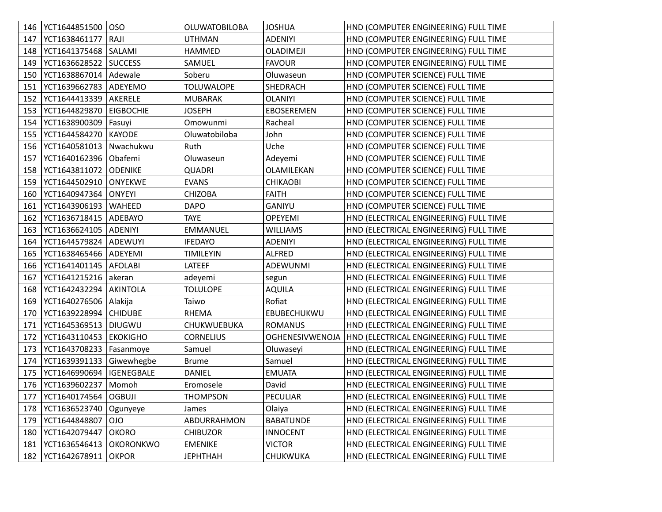| 146 | YCT1644851500           | loso              | <b>OLUWATOBILOBA</b> | <b>JOSHUA</b>          | HND (COMPUTER ENGINEERING) FULL TIME   |
|-----|-------------------------|-------------------|----------------------|------------------------|----------------------------------------|
| 147 | YCT1638461177           | RAJI              | UTHMAN               | <b>ADENIYI</b>         | HND (COMPUTER ENGINEERING) FULL TIME   |
| 148 | YCT1641375468           | SALAMI            | <b>HAMMED</b>        | <b>OLADIMEJI</b>       | HND (COMPUTER ENGINEERING) FULL TIME   |
| 149 | YCT1636628522           | <b>SUCCESS</b>    | SAMUEL               | <b>FAVOUR</b>          | HND (COMPUTER ENGINEERING) FULL TIME   |
| 150 | YCT1638867014   Adewale |                   | Soberu               | Oluwaseun              | HND (COMPUTER SCIENCE) FULL TIME       |
| 151 | YCT1639662783   ADEYEMO |                   | <b>TOLUWALOPE</b>    | SHEDRACH               | HND (COMPUTER SCIENCE) FULL TIME       |
| 152 | YCT1644413339           | AKERELE           | <b>MUBARAK</b>       | <b>OLANIYI</b>         | HND (COMPUTER SCIENCE) FULL TIME       |
| 153 | YCT1644829870           | <b>EIGBOCHIE</b>  | <b>JOSEPH</b>        | EBOSEREMEN             | HND (COMPUTER SCIENCE) FULL TIME       |
| 154 | YCT1638900309           | Fasuyi            | Omowunmi             | Racheal                | HND (COMPUTER SCIENCE) FULL TIME       |
| 155 | YCT1644584270           | <b>KAYODE</b>     | Oluwatobiloba        | John                   | HND (COMPUTER SCIENCE) FULL TIME       |
| 156 | YCT1640581013           | Nwachukwu         | Ruth                 | Uche                   | HND (COMPUTER SCIENCE) FULL TIME       |
| 157 | YCT1640162396           | Obafemi           | Oluwaseun            | Adeyemi                | HND (COMPUTER SCIENCE) FULL TIME       |
| 158 | YCT1643811072           | <b>ODENIKE</b>    | <b>QUADRI</b>        | OLAMILEKAN             | HND (COMPUTER SCIENCE) FULL TIME       |
| 159 | YCT1644502910           | <b>ONYEKWE</b>    | <b>EVANS</b>         | <b>CHIKAOBI</b>        | HND (COMPUTER SCIENCE) FULL TIME       |
| 160 | YCT1640947364           | <b>ONYEYI</b>     | <b>CHIZOBA</b>       | <b>FAITH</b>           | HND (COMPUTER SCIENCE) FULL TIME       |
| 161 | YCT1643906193           | <b>WAHEED</b>     | <b>DAPO</b>          | <b>GANIYU</b>          | HND (COMPUTER SCIENCE) FULL TIME       |
| 162 | YCT1636718415   ADEBAYO |                   | <b>TAYE</b>          | <b>OPEYEMI</b>         | HND (ELECTRICAL ENGINEERING) FULL TIME |
| 163 | YCT1636624105           | <b>ADENIYI</b>    | EMMANUEL             | <b>WILLIAMS</b>        | HND (ELECTRICAL ENGINEERING) FULL TIME |
| 164 | YCT1644579824           | <b>ADEWUYI</b>    | <b>IFEDAYO</b>       | <b>ADENIYI</b>         | HND (ELECTRICAL ENGINEERING) FULL TIME |
| 165 | YCT1638465466           | <b>ADEYEMI</b>    | <b>TIMILEYIN</b>     | <b>ALFRED</b>          | HND (ELECTRICAL ENGINEERING) FULL TIME |
| 166 | YCT1641401145   AFOLABI |                   | LATEEF               | ADEWUNMI               | HND (ELECTRICAL ENGINEERING) FULL TIME |
| 167 | YCT1641215216           | akeran            | adeyemi              | segun                  | HND (ELECTRICAL ENGINEERING) FULL TIME |
| 168 | YCT1642432294           | AKINTOLA          | <b>TOLULOPE</b>      | <b>AQUILA</b>          | HND (ELECTRICAL ENGINEERING) FULL TIME |
| 169 | YCT1640276506           | Alakija           | Taiwo                | Rofiat                 | HND (ELECTRICAL ENGINEERING) FULL TIME |
| 170 | YCT1639228994           | <b>CHIDUBE</b>    | <b>RHEMA</b>         | EBUBECHUKWU            | HND (ELECTRICAL ENGINEERING) FULL TIME |
| 171 | YCT1645369513           | <b>DIUGWU</b>     | CHUKWUEBUKA          | <b>ROMANUS</b>         | HND (ELECTRICAL ENGINEERING) FULL TIME |
| 172 | YCT1643110453           | <b>EKOKIGHO</b>   | <b>CORNELIUS</b>     | <b>OGHENESIVWENOJA</b> | HND (ELECTRICAL ENGINEERING) FULL TIME |
| 173 | YCT1643708233           | Fasanmoye         | Samuel               | Oluwaseyi              | HND (ELECTRICAL ENGINEERING) FULL TIME |
| 174 | YCT1639391133           | Giwewhegbe        | <b>Brume</b>         | Samuel                 | HND (ELECTRICAL ENGINEERING) FULL TIME |
| 175 | YCT1646990694           | <b>IGENEGBALE</b> | <b>DANIEL</b>        | <b>EMUATA</b>          | HND (ELECTRICAL ENGINEERING) FULL TIME |
| 176 | YCT1639602237 Momoh     |                   | Eromosele            | David                  | HND (ELECTRICAL ENGINEERING) FULL TIME |
| 177 | YCT1640174564   OGBUJI  |                   | <b>THOMPSON</b>      | PECULIAR               | HND (ELECTRICAL ENGINEERING) FULL TIME |
| 178 | YCT1636523740           | Ogunyeye          | James                | Olaiya                 | HND (ELECTRICAL ENGINEERING) FULL TIME |
| 179 | YCT1644848807           | <b>OIO</b>        | ABDURRAHMON          | <b>BABATUNDE</b>       | HND (ELECTRICAL ENGINEERING) FULL TIME |
| 180 | YCT1642079447           | <b>OKORO</b>      | <b>CHIBUZOR</b>      | <b>INNOCENT</b>        | HND (ELECTRICAL ENGINEERING) FULL TIME |
| 181 | YCT1636546413           | <b>OKORONKWO</b>  | <b>EMENIKE</b>       | <b>VICTOR</b>          | HND (ELECTRICAL ENGINEERING) FULL TIME |
| 182 | YCT1642678911           | <b>OKPOR</b>      | <b>JEPHTHAH</b>      | CHUKWUKA               | HND (ELECTRICAL ENGINEERING) FULL TIME |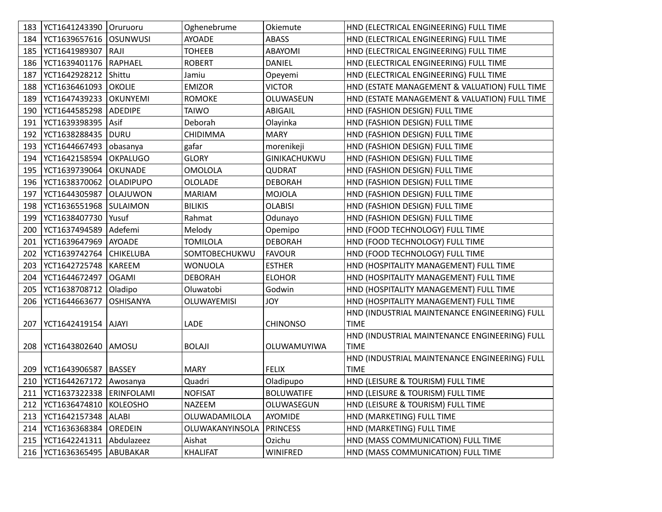|     | 183   YCT1641243390   Oruruoru |                  | Oghenebrume        | Okiemute          | HND (ELECTRICAL ENGINEERING) FULL TIME        |
|-----|--------------------------------|------------------|--------------------|-------------------|-----------------------------------------------|
| 184 | YCT1639657616                  | <b>OSUNWUSI</b>  | <b>AYOADE</b>      | ABASS             | HND (ELECTRICAL ENGINEERING) FULL TIME        |
| 185 | YCT1641989307 RAJI             |                  | <b>TOHEEB</b>      | ABAYOMI           | HND (ELECTRICAL ENGINEERING) FULL TIME        |
| 186 | YCT1639401176   RAPHAEL        |                  | <b>ROBERT</b>      | DANIEL            | HND (ELECTRICAL ENGINEERING) FULL TIME        |
| 187 | YCT1642928212 Shittu           |                  | Jamiu              | Opeyemi           | HND (ELECTRICAL ENGINEERING) FULL TIME        |
| 188 | YCT1636461093                  | <b>OKOLIE</b>    | <b>EMIZOR</b>      | VICTOR            | HND (ESTATE MANAGEMENT & VALUATION) FULL TIME |
| 189 | YCT1647439233                  | OKUNYEMI         | <b>ROMOKE</b>      | OLUWASEUN         | HND (ESTATE MANAGEMENT & VALUATION) FULL TIME |
| 190 | YCT1644585298                  | ADEDIPE          | TAIWO              | ABIGAIL           | HND (FASHION DESIGN) FULL TIME                |
| 191 | YCT1639398395                  | Asif             | Deborah            | Olayinka          | HND (FASHION DESIGN) FULL TIME                |
| 192 | YCT1638288435                  | <b>DURU</b>      | CHIDIMMA           | <b>MARY</b>       | HND (FASHION DESIGN) FULL TIME                |
| 193 | YCT1644667493                  | obasanya         | gafar              | morenikeji        | HND (FASHION DESIGN) FULL TIME                |
| 194 | YCT1642158594                  | <b>OKPALUGO</b>  | <b>GLORY</b>       | GINIKACHUKWU      | HND (FASHION DESIGN) FULL TIME                |
| 195 | YCT1639739064                  | OKUNADE          | <b>OMOLOLA</b>     | QUDRAT            | HND (FASHION DESIGN) FULL TIME                |
| 196 | YCT1638370062                  | <b>OLADIPUPO</b> | <b>OLOLADE</b>     | <b>DEBORAH</b>    | HND (FASHION DESIGN) FULL TIME                |
| 197 | YCT1644305987                  | <b>OLAJUWON</b>  | <b>MARIAM</b>      | <b>MOJOLA</b>     | HND (FASHION DESIGN) FULL TIME                |
| 198 | YCT1636551968                  | SULAIMON         | <b>BILIKIS</b>     | <b>OLABISI</b>    | HND (FASHION DESIGN) FULL TIME                |
| 199 | YCT1638407730                  | l Yusuf          | Rahmat             | Odunayo           | HND (FASHION DESIGN) FULL TIME                |
| 200 | YCT1637494589   Adefemi        |                  | Melody             | Opemipo           | HND (FOOD TECHNOLOGY) FULL TIME               |
| 201 | YCT1639647969                  | AYOADE           | TOMILOLA           | <b>DEBORAH</b>    | HND (FOOD TECHNOLOGY) FULL TIME               |
| 202 | YCT1639742764                  | <b>CHIKELUBA</b> | SOMTOBECHUKWU      | <b>FAVOUR</b>     | HND (FOOD TECHNOLOGY) FULL TIME               |
| 203 | YCT1642725748                  | KAREEM           | WONUOLA            | <b>ESTHER</b>     | HND (HOSPITALITY MANAGEMENT) FULL TIME        |
| 204 | YCT1644672497                  | <b>OGAMI</b>     | <b>DEBORAH</b>     | <b>ELOHOR</b>     | HND (HOSPITALITY MANAGEMENT) FULL TIME        |
| 205 | YCT1638708712                  | Oladipo          | Oluwatobi          | Godwin            | HND (HOSPITALITY MANAGEMENT) FULL TIME        |
| 206 | YCT1644663677                  | <b>OSHISANYA</b> | <b>OLUWAYEMISI</b> | YOL               | HND (HOSPITALITY MANAGEMENT) FULL TIME        |
|     |                                |                  |                    |                   | HND (INDUSTRIAL MAINTENANCE ENGINEERING) FULL |
| 207 | YCT1642419154   AJAYI          |                  | LADE               | <b>CHINONSO</b>   | <b>TIME</b>                                   |
|     |                                |                  |                    |                   | HND (INDUSTRIAL MAINTENANCE ENGINEERING) FULL |
| 208 | YCT1643802640 AMOSU            |                  | <b>BOLAJI</b>      | OLUWAMUYIWA       | <b>TIME</b>                                   |
|     |                                |                  |                    |                   | HND (INDUSTRIAL MAINTENANCE ENGINEERING) FULL |
| 209 | YCT1643906587   BASSEY         |                  | <b>MARY</b>        | <b>FELIX</b>      | <b>TIME</b>                                   |
| 210 | YCT1644267172                  | Awosanya         | Quadri             | Oladipupo         | HND (LEISURE & TOURISM) FULL TIME             |
| 211 | YCT1637322338   ERINFOLAMI     |                  | <b>NOFISAT</b>     | <b>BOLUWATIFE</b> | HND (LEISURE & TOURISM) FULL TIME             |
| 212 | YCT1636474810                  | KOLEOSHO         | NAZEEM             | OLUWASEGUN        | HND (LEISURE & TOURISM) FULL TIME             |
| 213 | YCT1642157348  ALABI           |                  | OLUWADAMILOLA      | AYOMIDE           | HND (MARKETING) FULL TIME                     |
| 214 | YCT1636368384  OREDEIN         |                  | OLUWAKANYINSOLA    | <b>PRINCESS</b>   | HND (MARKETING) FULL TIME                     |
| 215 | VCT1642241311 Abdulazeez       |                  | Aishat             | Ozichu            | HND (MASS COMMUNICATION) FULL TIME            |
|     | 216   YCT1636365495   ABUBAKAR |                  | <b>KHALIFAT</b>    | WINIFRED          | HND (MASS COMMUNICATION) FULL TIME            |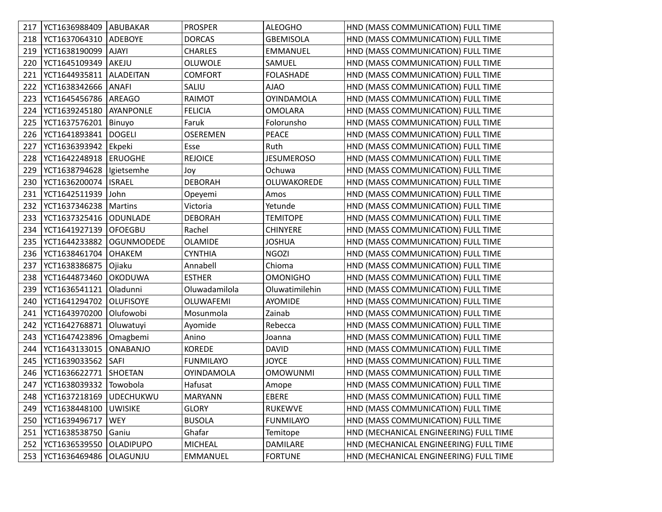| 217 | YCT1636988409   ABUBAKAR        |                   | <b>PROSPER</b>    | <b>ALEOGHO</b>    | HND (MASS COMMUNICATION) FULL TIME     |
|-----|---------------------------------|-------------------|-------------------|-------------------|----------------------------------------|
| 218 | YCT1637064310                   | <b>ADEBOYE</b>    | <b>DORCAS</b>     | <b>GBEMISOLA</b>  | HND (MASS COMMUNICATION) FULL TIME     |
| 219 | YCT1638190099                   | <b>AJAYI</b>      | <b>CHARLES</b>    | EMMANUEL          | HND (MASS COMMUNICATION) FULL TIME     |
| 220 | YCT1645109349                   | AKEJU             | OLUWOLE           | SAMUEL            | HND (MASS COMMUNICATION) FULL TIME     |
| 221 | YCT1644935811                   | ALADEITAN         | <b>COMFORT</b>    | <b>FOLASHADE</b>  | HND (MASS COMMUNICATION) FULL TIME     |
| 222 | YCT1638342666                   | <b>ANAFI</b>      | SALIU             | <b>AJAO</b>       | HND (MASS COMMUNICATION) FULL TIME     |
| 223 | YCT1645456786                   | AREAGO            | RAIMOT            | <b>OYINDAMOLA</b> | HND (MASS COMMUNICATION) FULL TIME     |
| 224 | YCT1639245180                   | AYANPONLE         | <b>FELICIA</b>    | <b>OMOLARA</b>    | HND (MASS COMMUNICATION) FULL TIME     |
| 225 | YCT1637576201                   | Binuyo            | Faruk             | Folorunsho        | HND (MASS COMMUNICATION) FULL TIME     |
| 226 | YCT1641893841                   | <b>DOGELI</b>     | <b>OSEREMEN</b>   | PEACE             | HND (MASS COMMUNICATION) FULL TIME     |
| 227 | YCT1636393942                   | Ekpeki            | Esse              | Ruth              | HND (MASS COMMUNICATION) FULL TIME     |
| 228 | YCT1642248918                   | <b>ERUOGHE</b>    | <b>REJOICE</b>    | <b>JESUMEROSO</b> | HND (MASS COMMUNICATION) FULL TIME     |
| 229 | YCT1638794628                   | Igietsemhe        | Joy               | Ochuwa            | HND (MASS COMMUNICATION) FULL TIME     |
| 230 | YCT1636200074                   | <b>ISRAEL</b>     | <b>DEBORAH</b>    | OLUWAKOREDE       | HND (MASS COMMUNICATION) FULL TIME     |
| 231 | YCT1642511939                   | John              | Opeyemi           | Amos              | HND (MASS COMMUNICATION) FULL TIME     |
| 232 | YCT1637346238                   | Martins           | Victoria          | Yetunde           | HND (MASS COMMUNICATION) FULL TIME     |
| 233 | YCT1637325416                   | <b>ODUNLADE</b>   | <b>DEBORAH</b>    | <b>TEMITOPE</b>   | HND (MASS COMMUNICATION) FULL TIME     |
| 234 | YCT1641927139                   | <b>OFOEGBU</b>    | Rachel            | <b>CHINYERE</b>   | HND (MASS COMMUNICATION) FULL TIME     |
| 235 | YCT1644233882                   | <b>OGUNMODEDE</b> | <b>OLAMIDE</b>    | <b>JOSHUA</b>     | HND (MASS COMMUNICATION) FULL TIME     |
| 236 | YCT1638461704                   | <b>OHAKEM</b>     | <b>CYNTHIA</b>    | <b>NGOZI</b>      | HND (MASS COMMUNICATION) FULL TIME     |
| 237 | YCT1638386875                   | Ojiaku            | Annabell          | Chioma            | HND (MASS COMMUNICATION) FULL TIME     |
| 238 | YCT1644873460                   | <b>OKODUWA</b>    | <b>ESTHER</b>     | <b>OMONIGHO</b>   | HND (MASS COMMUNICATION) FULL TIME     |
| 239 | YCT1636541121                   | Oladunni          | Oluwadamilola     | Oluwatimilehin    | HND (MASS COMMUNICATION) FULL TIME     |
| 240 | YCT1641294702                   | <b>OLUFISOYE</b>  | OLUWAFEMI         | AYOMIDE           | HND (MASS COMMUNICATION) FULL TIME     |
| 241 | YCT1643970200                   | Olufowobi         | Mosunmola         | Zainab            | HND (MASS COMMUNICATION) FULL TIME     |
| 242 | YCT1642768871                   | Oluwatuyi         | Ayomide           | Rebecca           | HND (MASS COMMUNICATION) FULL TIME     |
| 243 | YCT1647423896                   | Omagbemi          | Anino             | Joanna            | HND (MASS COMMUNICATION) FULL TIME     |
| 244 | YCT1643133015                   | <b>ONABANJO</b>   | <b>KOREDE</b>     | <b>DAVID</b>      | HND (MASS COMMUNICATION) FULL TIME     |
| 245 | YCT1639033562                   | SAFI              | <b>FUNMILAYO</b>  | <b>JOYCE</b>      | HND (MASS COMMUNICATION) FULL TIME     |
| 246 | YCT1636622771                   | <b>SHOETAN</b>    | <b>OYINDAMOLA</b> | <b>OMOWUNMI</b>   | HND (MASS COMMUNICATION) FULL TIME     |
| 247 | YCT1638039332 Towobola          |                   | Hafusat           | Amope             | HND (MASS COMMUNICATION) FULL TIME     |
|     | 248   YCT1637218169   UDECHUKWU |                   | MARYANN           | EBERE             | HND (MASS COMMUNICATION) FULL TIME     |
| 249 | YCT1638448100                   | <b>UWISIKE</b>    | <b>GLORY</b>      | RUKEWVE           | HND (MASS COMMUNICATION) FULL TIME     |
| 250 | YCT1639496717                   | <b>WEY</b>        | <b>BUSOLA</b>     | <b>FUNMILAYO</b>  | HND (MASS COMMUNICATION) FULL TIME     |
| 251 | YCT1638538750                   | Ganiu             | Ghafar            | Temitope          | HND (MECHANICAL ENGINEERING) FULL TIME |
| 252 | YCT1636539550                   | <b>OLADIPUPO</b>  | <b>MICHEAL</b>    | DAMILARE          | HND (MECHANICAL ENGINEERING) FULL TIME |
| 253 | YCT1636469486                   | OLAGUNJU          | EMMANUEL          | <b>FORTUNE</b>    | HND (MECHANICAL ENGINEERING) FULL TIME |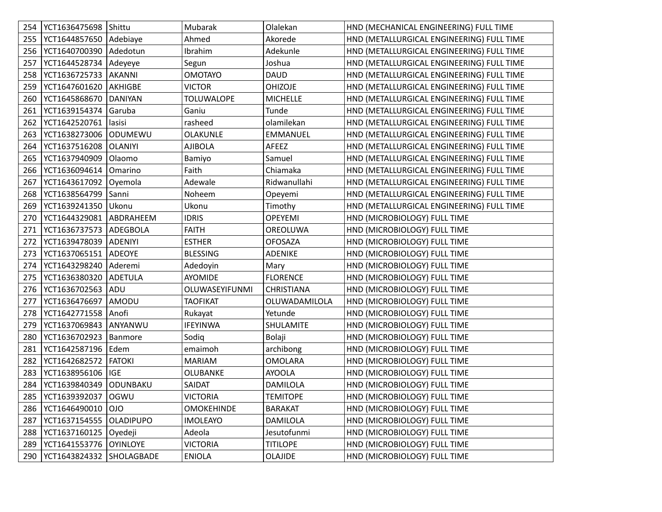| 254 | YCT1636475698 Shittu     |                  | Mubarak           | Olalekan          | HND (MECHANICAL ENGINEERING) FULL TIME    |
|-----|--------------------------|------------------|-------------------|-------------------|-------------------------------------------|
| 255 | YCT1644857650 Adebiaye   |                  | Ahmed             | Akorede           | HND (METALLURGICAL ENGINEERING) FULL TIME |
| 256 | YCT1640700390            | Adedotun         | Ibrahim           | Adekunle          | HND (METALLURGICAL ENGINEERING) FULL TIME |
| 257 | YCT1644528734            | Adeyeye          | Segun             | Joshua            | HND (METALLURGICAL ENGINEERING) FULL TIME |
| 258 | YCT1636725733   AKANNI   |                  | <b>OMOTAYO</b>    | <b>DAUD</b>       | HND (METALLURGICAL ENGINEERING) FULL TIME |
| 259 | YCT1647601620            | <b>AKHIGBE</b>   | <b>VICTOR</b>     | <b>OHIZOJE</b>    | HND (METALLURGICAL ENGINEERING) FULL TIME |
| 260 | YCT1645868670            | <b>DANIYAN</b>   | <b>TOLUWALOPE</b> | <b>MICHELLE</b>   | HND (METALLURGICAL ENGINEERING) FULL TIME |
| 261 | YCT1639154374            | Garuba           | Ganiu             | Tunde             | HND (METALLURGICAL ENGINEERING) FULL TIME |
| 262 | YCT1642520761            | lasisi           | rasheed           | olamilekan        | HND (METALLURGICAL ENGINEERING) FULL TIME |
| 263 | YCT1638273006            | ODUMEWU          | <b>OLAKUNLE</b>   | EMMANUEL          | HND (METALLURGICAL ENGINEERING) FULL TIME |
| 264 | YCT1637516208            | <b>OLANIYI</b>   | <b>AJIBOLA</b>    | AFEEZ             | HND (METALLURGICAL ENGINEERING) FULL TIME |
| 265 | YCT1637940909            | Olaomo           | Bamiyo            | Samuel            | HND (METALLURGICAL ENGINEERING) FULL TIME |
| 266 | YCT1636094614            | Omarino          | Faith             | Chiamaka          | HND (METALLURGICAL ENGINEERING) FULL TIME |
| 267 | YCT1643617092            | Oyemola          | Adewale           | Ridwanullahi      | HND (METALLURGICAL ENGINEERING) FULL TIME |
| 268 | YCT1638564799            | Sanni            | Noheem            | Opeyemi           | HND (METALLURGICAL ENGINEERING) FULL TIME |
| 269 | YCT1639241350   Ukonu    |                  | Ukonu             | Timothy           | HND (METALLURGICAL ENGINEERING) FULL TIME |
| 270 | YCT1644329081 ABDRAHEEM  |                  | <b>IDRIS</b>      | <b>OPEYEMI</b>    | HND (MICROBIOLOGY) FULL TIME              |
| 271 | YCT1636737573   ADEGBOLA |                  | <b>FAITH</b>      | OREOLUWA          | HND (MICROBIOLOGY) FULL TIME              |
| 272 | YCT1639478039            | <b>ADENIYI</b>   | <b>ESTHER</b>     | <b>OFOSAZA</b>    | HND (MICROBIOLOGY) FULL TIME              |
| 273 | YCT1637065151   ADEOYE   |                  | <b>BLESSING</b>   | <b>ADENIKE</b>    | HND (MICROBIOLOGY) FULL TIME              |
| 274 | YCT1643298240            | Aderemi          | Adedoyin          | Mary              | HND (MICROBIOLOGY) FULL TIME              |
| 275 | YCT1636380320            | ADETULA          | AYOMIDE           | <b>FLORENCE</b>   | HND (MICROBIOLOGY) FULL TIME              |
| 276 | YCT1636702563            | ADU              | OLUWASEYIFUNMI    | <b>CHRISTIANA</b> | HND (MICROBIOLOGY) FULL TIME              |
| 277 | YCT1636476697            | AMODU            | <b>TAOFIKAT</b>   | OLUWADAMILOLA     | HND (MICROBIOLOGY) FULL TIME              |
| 278 | YCT1642771558 Anofi      |                  | Rukayat           | Yetunde           | HND (MICROBIOLOGY) FULL TIME              |
| 279 | YCT1637069843            | ANYANWU          | <b>IFEYINWA</b>   | SHULAMITE         | HND (MICROBIOLOGY) FULL TIME              |
| 280 | YCT1636702923            | Banmore          | Sodiq             | Bolaji            | HND (MICROBIOLOGY) FULL TIME              |
| 281 | YCT1642587196   Edem     |                  | emaimoh           | archibong         | HND (MICROBIOLOGY) FULL TIME              |
| 282 | YCT1642682572            | <b>FATOKI</b>    | <b>MARIAM</b>     | <b>OMOLARA</b>    | HND (MICROBIOLOGY) FULL TIME              |
| 283 | YCT1638956106   IGE      |                  | OLUBANKE          | <b>AYOOLA</b>     | HND (MICROBIOLOGY) FULL TIME              |
| 284 | YCT1639840349 ODUNBAKU   |                  | SAIDAT            | DAMILOLA          | HND (MICROBIOLOGY) FULL TIME              |
| 285 | YCT1639392037 OGWU       |                  | <b>VICTORIA</b>   | <b>TEMITOPE</b>   | HND (MICROBIOLOGY) FULL TIME              |
| 286 | YCT1646490010            | OIO              | <b>OMOKEHINDE</b> | <b>BARAKAT</b>    | HND (MICROBIOLOGY) FULL TIME              |
| 287 | YCT1637154555            | <b>OLADIPUPO</b> | <b>IMOLEAYO</b>   | DAMILOLA          | HND (MICROBIOLOGY) FULL TIME              |
| 288 | YCT1637160125   Oyedeji  |                  | Adeola            | Jesutofunmi       | HND (MICROBIOLOGY) FULL TIME              |
| 289 | YCT1641553776            | <b>OYINLOYE</b>  | <b>VICTORIA</b>   | <b>TITILOPE</b>   | HND (MICROBIOLOGY) FULL TIME              |
| 290 | YCT1643824332            | SHOLAGBADE       | <b>ENIOLA</b>     | <b>OLAJIDE</b>    | HND (MICROBIOLOGY) FULL TIME              |